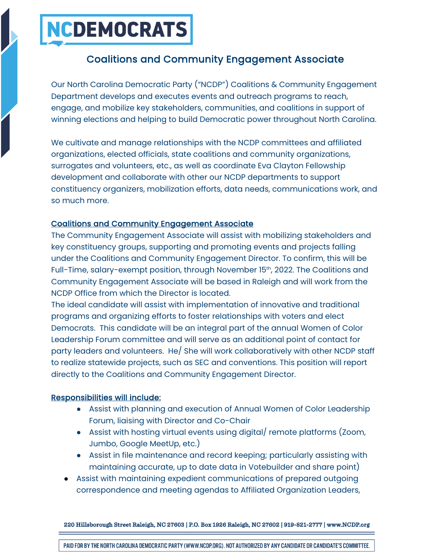### **NCDEMOCRATS**

### Coalitions and Community Engagement Associate

Our North Carolina Democratic Party ("NCDP") Coalitions & Community Engagement Department develops and executes events and outreach programs to reach, engage, and mobilize key stakeholders, communities, and coalitions in support of winning elections and helping to build Democratic power throughout North Carolina.

We cultivate and manage relationships with the NCDP committees and affiliated organizations, elected officials, state coalitions and community organizations, surrogates and volunteers, etc., as well as coordinate Eva Clayton Fellowship development and collaborate with other our NCDP departments to support constituency organizers, mobilization efforts, data needs, communications work, and so much more.

#### Coalitions and Community Engagement Associate

The Community Engagement Associate will assist with mobilizing stakeholders and key constituency groups, supporting and promoting events and projects falling under the Coalitions and Community Engagement Director. To confirm, this will be Full-Time, salary-exempt position, through November 15<sup>th</sup>, 2022. The Coalitions and Community Engagement Associate will be based in Raleigh and will work from the NCDP Office from which the Director is located.

The ideal candidate will assist with implementation of innovative and traditional programs and organizing efforts to foster relationships with voters and elect Democrats. This candidate will be an integral part of the annual Women of Color Leadership Forum committee and will serve as an additional point of contact for party leaders and volunteers. He/ She will work collaboratively with other NCDP staff to realize statewide projects, such as SEC and conventions. This position will report directly to the Coalitions and Community Engagement Director.

#### Responsibilities will include:

- Assist with planning and execution of Annual Women of Color Leadership Forum, liaising with Director and Co-Chair
- Assist with hosting virtual events using digital/ remote platforms (Zoom, Jumbo, Google MeetUp, etc.)
- Assist in file maintenance and record keeping; particularly assisting with maintaining accurate, up to date data in Votebuilder and share point)
- Assist with maintaining expedient communications of prepared outgoing correspondence and meeting agendas to Affiliated Organization Leaders,

220 Hillsborough Street Raleigh, NC 27603 | P.O. Box 1926 Raleigh, NC 27602 | 919-821-2777 | www.NCDP.org

PAID FOR BY THE NORTH CAROLINA DEMOCRATIC PARTY (WWW.NCDP.ORG). NOT AUTHORIZED BY ANY CANDIDATE OR CANDIDATE'S COMMITTEE.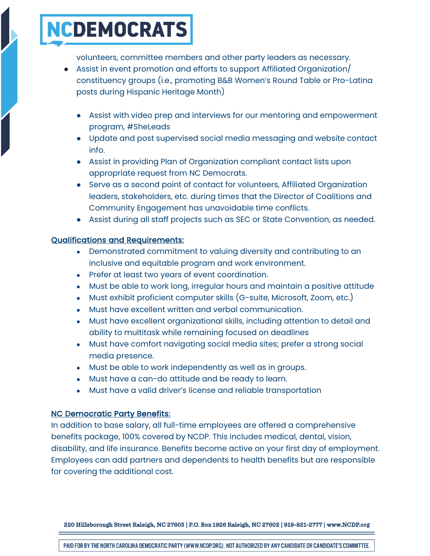## NCDEMOCRATS

volunteers, committee members and other party leaders as necessary.

- Assist in event promotion and efforts to support Affiliated Organization/ constituency groups (i.e., promoting B&B Women's Round Table or Pro-Latina posts during Hispanic Heritage Month)
	- Assist with video prep and interviews for our mentoring and empowerment program, #SheLeads
	- Update and post supervised social media messaging and website contact info.
	- Assist in providing Plan of Organization compliant contact lists upon appropriate request from NC Democrats.
	- Serve as a second point of contact for volunteers, Affiliated Organization leaders, stakeholders, etc. during times that the Director of Coalitions and Community Engagement has unavoidable time conflicts.
	- Assist during all staff projects such as SEC or State Convention, as needed.

#### Qualifications and Requirements:

- Demonstrated commitment to valuing diversity and contributing to an inclusive and equitable program and work environment.
- Prefer at least two years of event coordination.
- Must be able to work long, irregular hours and maintain a positive attitude
- Must exhibit proficient computer skills (G-suite, Microsoft, Zoom, etc.)
- Must have excellent written and verbal communication.
- Must have excellent organizational skills, including attention to detail and ability to multitask while remaining focused on deadlines
- Must have comfort navigating social media sites; prefer a strong social media presence.
- Must be able to work independently as well as in groups.
- Must have a can-do attitude and be ready to learn.
- Must have a valid driver's license and reliable transportation

#### NC Democratic Party Benefits:

In addition to base salary, all full-time employees are offered a comprehensive benefits package, 100% covered by NCDP. This includes medical, dental, vision, disability, and life insurance. Benefits become active on your first day of employment. Employees can add partners and dependents to health benefits but are responsible for covering the additional cost.

220 Hillsborough Street Raleigh, NC 27603 | P.O. Box 1926 Raleigh, NC 27602 | 919-821-2777 | www.NCDP.org